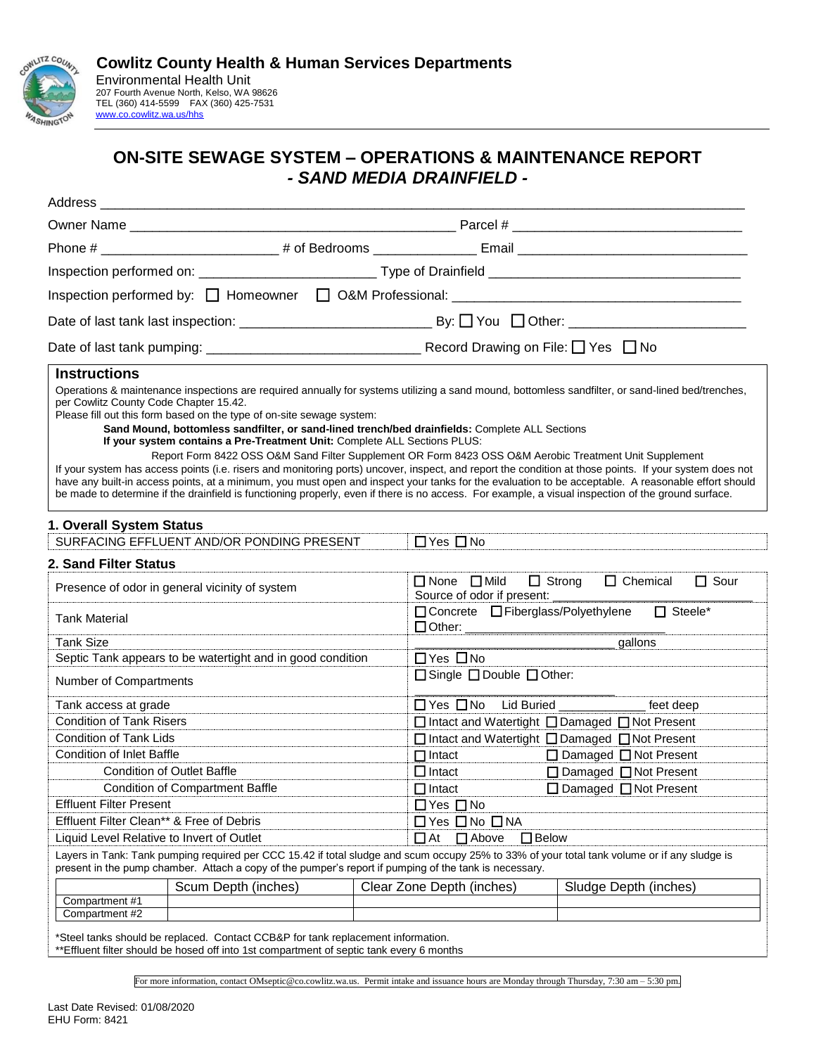

## **ON-SITE SEWAGE SYSTEM – OPERATIONS & MAINTENANCE REPORT** *- SAND MEDIA DRAINFIELD -*

| Address                                        |                                                                                                                                                                                                                                                                                                                                                                |  |                                                                                                          |                                                                                                                                                                                                                                                                                                                                                                                                                                                                                                                                                                                                                            |  |
|------------------------------------------------|----------------------------------------------------------------------------------------------------------------------------------------------------------------------------------------------------------------------------------------------------------------------------------------------------------------------------------------------------------------|--|----------------------------------------------------------------------------------------------------------|----------------------------------------------------------------------------------------------------------------------------------------------------------------------------------------------------------------------------------------------------------------------------------------------------------------------------------------------------------------------------------------------------------------------------------------------------------------------------------------------------------------------------------------------------------------------------------------------------------------------------|--|
|                                                |                                                                                                                                                                                                                                                                                                                                                                |  |                                                                                                          |                                                                                                                                                                                                                                                                                                                                                                                                                                                                                                                                                                                                                            |  |
|                                                |                                                                                                                                                                                                                                                                                                                                                                |  |                                                                                                          |                                                                                                                                                                                                                                                                                                                                                                                                                                                                                                                                                                                                                            |  |
|                                                |                                                                                                                                                                                                                                                                                                                                                                |  |                                                                                                          | Inspection performed on: __________________________________Type of Drainfield ________________________________                                                                                                                                                                                                                                                                                                                                                                                                                                                                                                             |  |
|                                                |                                                                                                                                                                                                                                                                                                                                                                |  |                                                                                                          |                                                                                                                                                                                                                                                                                                                                                                                                                                                                                                                                                                                                                            |  |
|                                                |                                                                                                                                                                                                                                                                                                                                                                |  |                                                                                                          |                                                                                                                                                                                                                                                                                                                                                                                                                                                                                                                                                                                                                            |  |
|                                                |                                                                                                                                                                                                                                                                                                                                                                |  |                                                                                                          |                                                                                                                                                                                                                                                                                                                                                                                                                                                                                                                                                                                                                            |  |
| <b>Instructions</b>                            |                                                                                                                                                                                                                                                                                                                                                                |  |                                                                                                          |                                                                                                                                                                                                                                                                                                                                                                                                                                                                                                                                                                                                                            |  |
| per Cowlitz County Code Chapter 15.42.         | Please fill out this form based on the type of on-site sewage system:<br>Sand Mound, bottomless sandfilter, or sand-lined trench/bed drainfields: Complete ALL Sections<br>If your system contains a Pre-Treatment Unit: Complete ALL Sections PLUS:<br>Report Form 8422 OSS O&M Sand Filter Supplement OR Form 8423 OSS O&M Aerobic Treatment Unit Supplement |  |                                                                                                          | Operations & maintenance inspections are required annually for systems utilizing a sand mound, bottomless sandfilter, or sand-lined bed/trenches,<br>If your system has access points (i.e. risers and monitoring ports) uncover, inspect, and report the condition at those points. If your system does not<br>have any built-in access points, at a minimum, you must open and inspect your tanks for the evaluation to be acceptable. A reasonable effort should<br>be made to determine if the drainfield is functioning properly, even if there is no access. For example, a visual inspection of the ground surface. |  |
| 1. Overall System Status                       |                                                                                                                                                                                                                                                                                                                                                                |  |                                                                                                          |                                                                                                                                                                                                                                                                                                                                                                                                                                                                                                                                                                                                                            |  |
|                                                | SURFACING EFFLUENT AND/OR PONDING PRESENT                                                                                                                                                                                                                                                                                                                      |  | $\Box$ Yes $\Box$ No                                                                                     |                                                                                                                                                                                                                                                                                                                                                                                                                                                                                                                                                                                                                            |  |
| 2. Sand Filter Status                          |                                                                                                                                                                                                                                                                                                                                                                |  |                                                                                                          |                                                                                                                                                                                                                                                                                                                                                                                                                                                                                                                                                                                                                            |  |
| Presence of odor in general vicinity of system |                                                                                                                                                                                                                                                                                                                                                                |  | $\Box$ None $\Box$ Mild<br>$\Box$ Strong<br>$\Box$ Chemical<br>$\Box$ Sour<br>Source of odor if present: |                                                                                                                                                                                                                                                                                                                                                                                                                                                                                                                                                                                                                            |  |
| <b>Tank Material</b>                           |                                                                                                                                                                                                                                                                                                                                                                |  | □ Concrete □ Fiberglass/Polyethylene □ Steele*                                                           |                                                                                                                                                                                                                                                                                                                                                                                                                                                                                                                                                                                                                            |  |
| <b>Tank Size</b>                               |                                                                                                                                                                                                                                                                                                                                                                |  |                                                                                                          |                                                                                                                                                                                                                                                                                                                                                                                                                                                                                                                                                                                                                            |  |
|                                                | Septic Tank appears to be watertight and in good condition                                                                                                                                                                                                                                                                                                     |  | $\Box$ Yes $\Box$ No                                                                                     |                                                                                                                                                                                                                                                                                                                                                                                                                                                                                                                                                                                                                            |  |
| Number of Compartments                         |                                                                                                                                                                                                                                                                                                                                                                |  | □ Single □ Double □ Other:                                                                               |                                                                                                                                                                                                                                                                                                                                                                                                                                                                                                                                                                                                                            |  |
| Tank access at grade                           |                                                                                                                                                                                                                                                                                                                                                                |  | □ Yes □ No Lid Buried _______________ feet deep                                                          |                                                                                                                                                                                                                                                                                                                                                                                                                                                                                                                                                                                                                            |  |
| <b>Condition of Tank Risers</b>                |                                                                                                                                                                                                                                                                                                                                                                |  | □ Intact and Watertight □ Damaged □ Not Present                                                          |                                                                                                                                                                                                                                                                                                                                                                                                                                                                                                                                                                                                                            |  |
| Condition of Tank Lids                         |                                                                                                                                                                                                                                                                                                                                                                |  | □ Intact and Watertight □ Damaged □ Not Present                                                          |                                                                                                                                                                                                                                                                                                                                                                                                                                                                                                                                                                                                                            |  |
| <b>Condition of Inlet Baffle</b>               |                                                                                                                                                                                                                                                                                                                                                                |  | $\Box$ Intact                                                                                            | $\Box$ Damaged $\Box$ Not Present                                                                                                                                                                                                                                                                                                                                                                                                                                                                                                                                                                                          |  |
| <b>Condition of Outlet Baffle</b>              |                                                                                                                                                                                                                                                                                                                                                                |  | $\Box$ Intact                                                                                            | □ Damaged □ Not Present                                                                                                                                                                                                                                                                                                                                                                                                                                                                                                                                                                                                    |  |
| <b>Condition of Compartment Baffle</b>         |                                                                                                                                                                                                                                                                                                                                                                |  | $\Box$ Intact                                                                                            | $\Box$ Damaged $\Box$ Not Present                                                                                                                                                                                                                                                                                                                                                                                                                                                                                                                                                                                          |  |
| <b>Effluent Filter Present</b>                 |                                                                                                                                                                                                                                                                                                                                                                |  | $\Box$ Yes $\Box$ No                                                                                     |                                                                                                                                                                                                                                                                                                                                                                                                                                                                                                                                                                                                                            |  |
| Effluent Filter Clean** & Free of Debris       |                                                                                                                                                                                                                                                                                                                                                                |  | □ Yes □ No □ NA                                                                                          |                                                                                                                                                                                                                                                                                                                                                                                                                                                                                                                                                                                                                            |  |
| Liquid Level Relative to Invert of Outlet      |                                                                                                                                                                                                                                                                                                                                                                |  | $\Box$ At<br>$\Box$ Above<br>$\Box$ Below                                                                |                                                                                                                                                                                                                                                                                                                                                                                                                                                                                                                                                                                                                            |  |
|                                                | present in the pump chamber. Attach a copy of the pumper's report if pumping of the tank is necessary.                                                                                                                                                                                                                                                         |  |                                                                                                          | Layers in Tank: Tank pumping required per CCC 15.42 if total sludge and scum occupy 25% to 33% of your total tank volume or if any sludge is                                                                                                                                                                                                                                                                                                                                                                                                                                                                               |  |
|                                                | Scum Depth (inches)                                                                                                                                                                                                                                                                                                                                            |  | Clear Zone Depth (inches)                                                                                | Sludge Depth (inches)                                                                                                                                                                                                                                                                                                                                                                                                                                                                                                                                                                                                      |  |
| Compartment #1<br>Compartment #2               |                                                                                                                                                                                                                                                                                                                                                                |  |                                                                                                          |                                                                                                                                                                                                                                                                                                                                                                                                                                                                                                                                                                                                                            |  |
|                                                | *Steel tanks should be replaced. Contact CCB&P for tank replacement information                                                                                                                                                                                                                                                                                |  |                                                                                                          |                                                                                                                                                                                                                                                                                                                                                                                                                                                                                                                                                                                                                            |  |

\*Steel tanks should be replaced. Contact CCB&P for tank replacement information.

\*\*Effluent filter should be hosed off into 1st compartment of septic tank every 6 months

For more information, contact OMseptic@co.cowlitz.wa.us. Permit intake and issuance hours are Monday through Thursday, 7:30 am – 5:30 pm.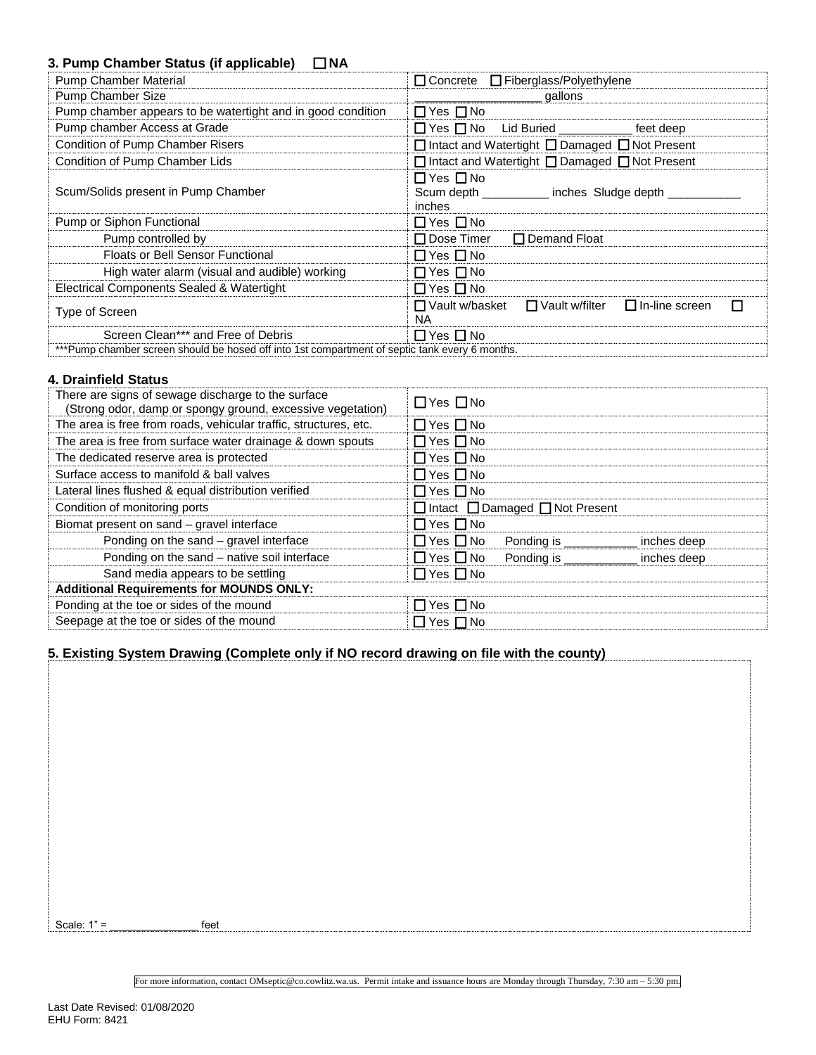## **3. Pump Chamber Status (if applicable)** ☐ **NA**

| <b>Pump Chamber Material</b>                                                                   | $\Box$ Concrete $\Box$ Fiberglass/Polyethylene                                   |
|------------------------------------------------------------------------------------------------|----------------------------------------------------------------------------------|
| Pump Chamber Size                                                                              | gallons                                                                          |
| Pump chamber appears to be watertight and in good condition                                    | $\Box$ Yes $\Box$ No                                                             |
| Pump chamber Access at Grade                                                                   | □ Yes □ No Lid Buried _________<br>feet deep                                     |
| Condition of Pump Chamber Risers                                                               | $\Box$ Intact and Watertight $\Box$ Damaged $\Box$ Not Present                   |
| Condition of Pump Chamber Lids                                                                 | □ Intact and Watertight □ Damaged □ Not Present                                  |
| Scum/Solids present in Pump Chamber                                                            | $\Box$ Yes $\Box$ No<br>Scum depth _________ inches Sludge depth _____<br>inches |
| Pump or Siphon Functional                                                                      | $\Box$ Yes $\Box$ No                                                             |
| Pump controlled by                                                                             | $\Box$ Dose Timer<br>$\Box$ Demand Float                                         |
| <b>Floats or Bell Sensor Functional</b>                                                        | $\Box$ Yes $\Box$ No                                                             |
| High water alarm (visual and audible) working                                                  | $\Box$ Yes $\Box$ No                                                             |
| Electrical Components Sealed & Watertight                                                      | $\Box$ Yes $\Box$ No                                                             |
| Type of Screen                                                                                 | $\Box$ In-line screen<br>□ Vault w/basket<br>$\Box$ Vault w/filter<br>П<br>NA.   |
| Screen Clean*** and Free of Debris                                                             | $\Box$ Yes $\Box$ No                                                             |
| ***Pump chamber screen should be hosed off into 1st compartment of septic tank every 6 months. |                                                                                  |

## **4. Drainfield Status**

| There are signs of sewage discharge to the surface<br>(Strong odor, damp or spongy ground, excessive vegetation) | $\Box$ Yes $\Box$ No |                                                 |             |
|------------------------------------------------------------------------------------------------------------------|----------------------|-------------------------------------------------|-------------|
| The area is free from roads, vehicular traffic, structures, etc.                                                 | $\Box$ Yes $\Box$ No |                                                 |             |
| The area is free from surface water drainage & down spouts                                                       | $\Box$ Yes $\Box$ No |                                                 |             |
| The dedicated reserve area is protected                                                                          | $\Box$ Yes $\Box$ No |                                                 |             |
| Surface access to manifold & ball valves                                                                         | $\Box$ Yes $\Box$ No |                                                 |             |
| Lateral lines flushed & equal distribution verified                                                              | $\Box$ Yes $\Box$ No |                                                 |             |
| Condition of monitoring ports                                                                                    |                      | $\Box$ Intact $\Box$ Damaged $\Box$ Not Present |             |
| Biomat present on sand - gravel interface                                                                        | $\Box$ Yes $\Box$ No |                                                 |             |
| Ponding on the sand - gravel interface                                                                           | $\Box$ Yes $\Box$ No | Ponding is                                      | inches deep |
| Ponding on the sand - native soil interface                                                                      | $\Box$ Yes $\Box$ No | Ponding is                                      | inches deep |
| Sand media appears to be settling                                                                                | $\Box$ Yes $\Box$ No |                                                 |             |
| <b>Additional Requirements for MOUNDS ONLY:</b>                                                                  |                      |                                                 |             |
| Ponding at the toe or sides of the mound                                                                         | $\Box$ Yes $\Box$ No |                                                 |             |
| Seepage at the toe or sides of the mound                                                                         | $\Box$ Yes $\Box$ No |                                                 |             |

## **5. Existing System Drawing (Complete only if NO record drawing on file with the county)**

Scale:  $1" =$  feet

For more information, contact OMseptic@co.cowlitz.wa.us. Permit intake and issuance hours are Monday through Thursday, 7:30 am – 5:30 pm.